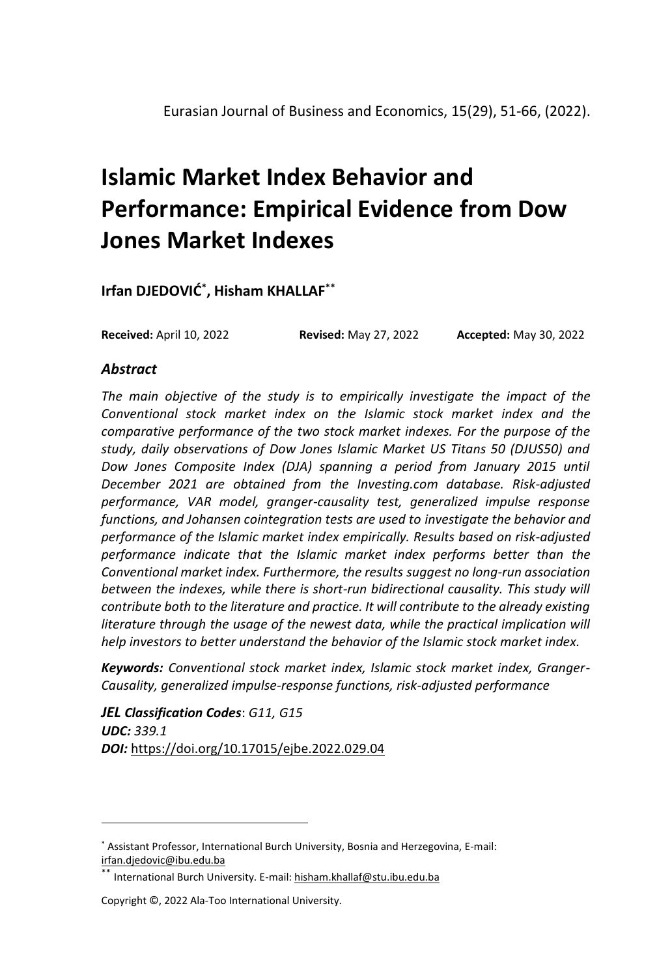# **Islamic Market Index Behavior and Performance: Empirical Evidence from Dow Jones Market Indexes**

**Irfan DJEDOVIĆ\* , Hisham KHALLAF\*\***

**Received:** April 10, 2022 **Revised:** May 27, 2022 **Accepted:** May 30, 2022

#### *Abstract*

*The main objective of the study is to empirically investigate the impact of the Conventional stock market index on the Islamic stock market index and the comparative performance of the two stock market indexes. For the purpose of the study, daily observations of Dow Jones Islamic Market US Titans 50 (DJUS50) and*  Dow Jones Composite Index (DJA) spanning a period from January 2015 until *December 2021 are obtained from the Investing.com database. Risk-adjusted performance, VAR model, granger-causality test, generalized impulse response functions, and Johansen cointegration tests are used to investigate the behavior and performance of the Islamic market index empirically. Results based on risk-adjusted performance indicate that the Islamic market index performs better than the Conventional market index. Furthermore, the results suggest no long-run association*  between the indexes, while there is short-run bidirectional causality. This study will *contribute both to the literature and practice. It will contribute to the already existing*  literature through the usage of the newest data, while the practical implication will *help investors to better understand the behavior of the Islamic stock market index.* 

*Keywords: Conventional stock market index, Islamic stock market index, Granger-Causality, generalized impulse-response functions, risk-adjusted performance*

*JEL Classification Codes*: *G11, G15 UDC: 339.1 DOI:* <https://doi.org/10.17015/ejbe.2022.029.04>

<sup>\*</sup> Assistant Professor, International Burch University, Bosnia and Herzegovina, E-mail: [irfan.djedovic@ibu.edu.ba](mailto:irfan.djedovic@ibu.edu.ba)

International Burch University. E-mail: hisham.khallaf@stu.ibu.edu.ba

Copyright ©, 2022 Ala-Too International University.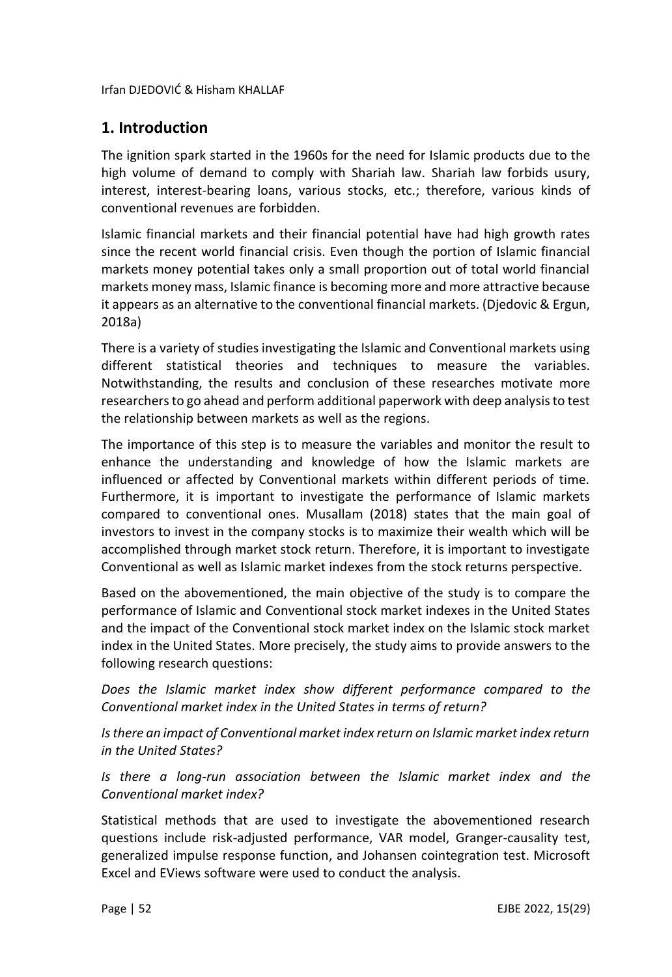## **1. Introduction**

The ignition spark started in the 1960s for the need for Islamic products due to the high volume of demand to comply with Shariah law. Shariah law forbids usury, interest, interest-bearing loans, various stocks, etc.; therefore, various kinds of conventional revenues are forbidden.

Islamic financial markets and their financial potential have had high growth rates since the recent world financial crisis. Even though the portion of Islamic financial markets money potential takes only a small proportion out of total world financial markets money mass, Islamic finance is becoming more and more attractive because it appears as an alternative to the conventional financial markets. (Djedovic & Ergun, 2018a)

There is a variety of studies investigating the Islamic and Conventional markets using different statistical theories and techniques to measure the variables. Notwithstanding, the results and conclusion of these researches motivate more researchers to go ahead and perform additional paperwork with deep analysis to test the relationship between markets as well as the regions.

The importance of this step is to measure the variables and monitor the result to enhance the understanding and knowledge of how the Islamic markets are influenced or affected by Conventional markets within different periods of time. Furthermore, it is important to investigate the performance of Islamic markets compared to conventional ones. Musallam (2018) states that the main goal of investors to invest in the company stocks is to maximize their wealth which will be accomplished through market stock return. Therefore, it is important to investigate Conventional as well as Islamic market indexes from the stock returns perspective.

Based on the abovementioned, the main objective of the study is to compare the performance of Islamic and Conventional stock market indexes in the United States and the impact of the Conventional stock market index on the Islamic stock market index in the United States. More precisely, the study aims to provide answers to the following research questions:

*Does the Islamic market index show different performance compared to the Conventional market index in the United States in terms of return?*

*Is there an impact of Conventional market index return on Islamic market index return in the United States?*

*Is there a long-run association between the Islamic market index and the Conventional market index?*

Statistical methods that are used to investigate the abovementioned research questions include risk-adjusted performance, VAR model, Granger-causality test, generalized impulse response function, and Johansen cointegration test. Microsoft Excel and EViews software were used to conduct the analysis.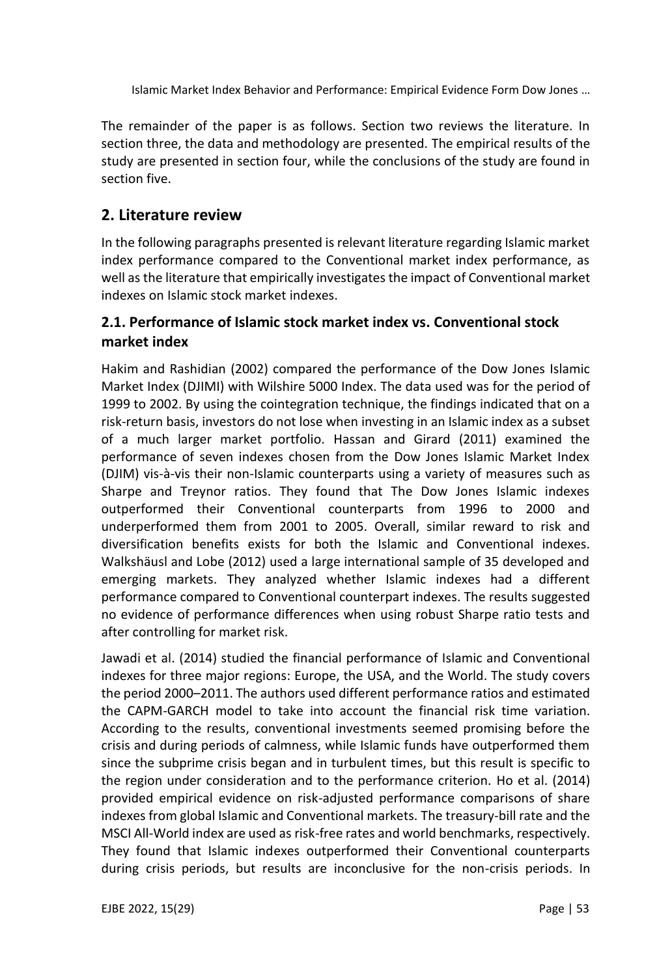The remainder of the paper is as follows. Section two reviews the literature. In section three, the data and methodology are presented. The empirical results of the study are presented in section four, while the conclusions of the study are found in section five.

## **2. Literature review**

In the following paragraphs presented is relevant literature regarding Islamic market index performance compared to the Conventional market index performance, as well as the literature that empirically investigates the impact of Conventional market indexes on Islamic stock market indexes.

## **2.1. Performance of Islamic stock market index vs. Conventional stock market index**

Hakim and Rashidian (2002) compared the performance of the Dow Jones Islamic Market Index (DJIMI) with Wilshire 5000 Index. The data used was for the period of 1999 to 2002. By using the cointegration technique, the findings indicated that on a risk-return basis, investors do not lose when investing in an Islamic index as a subset of a much larger market portfolio. Hassan and Girard (2011) examined the performance of seven indexes chosen from the Dow Jones Islamic Market Index (DJIM) vis-à-vis their non-Islamic counterparts using a variety of measures such as Sharpe and Treynor ratios. They found that The Dow Jones Islamic indexes outperformed their Conventional counterparts from 1996 to 2000 and underperformed them from 2001 to 2005. Overall, similar reward to risk and diversification benefits exists for both the Islamic and Conventional indexes. Walkshäusl and Lobe (2012) used a large international sample of 35 developed and emerging markets. They analyzed whether Islamic indexes had a different performance compared to Conventional counterpart indexes. The results suggested no evidence of performance differences when using robust Sharpe ratio tests and after controlling for market risk.

Jawadi et al. (2014) studied the financial performance of Islamic and Conventional indexes for three major regions: Europe, the USA, and the World. The study covers the period 2000–2011. The authors used different performance ratios and estimated the CAPM-GARCH model to take into account the financial risk time variation. According to the results, conventional investments seemed promising before the crisis and during periods of calmness, while Islamic funds have outperformed them since the subprime crisis began and in turbulent times, but this result is specific to the region under consideration and to the performance criterion. Ho et al. (2014) provided empirical evidence on risk-adjusted performance comparisons of share indexes from global Islamic and Conventional markets. The treasury-bill rate and the MSCI All-World index are used as risk-free rates and world benchmarks, respectively. They found that Islamic indexes outperformed their Conventional counterparts during crisis periods, but results are inconclusive for the non-crisis periods. In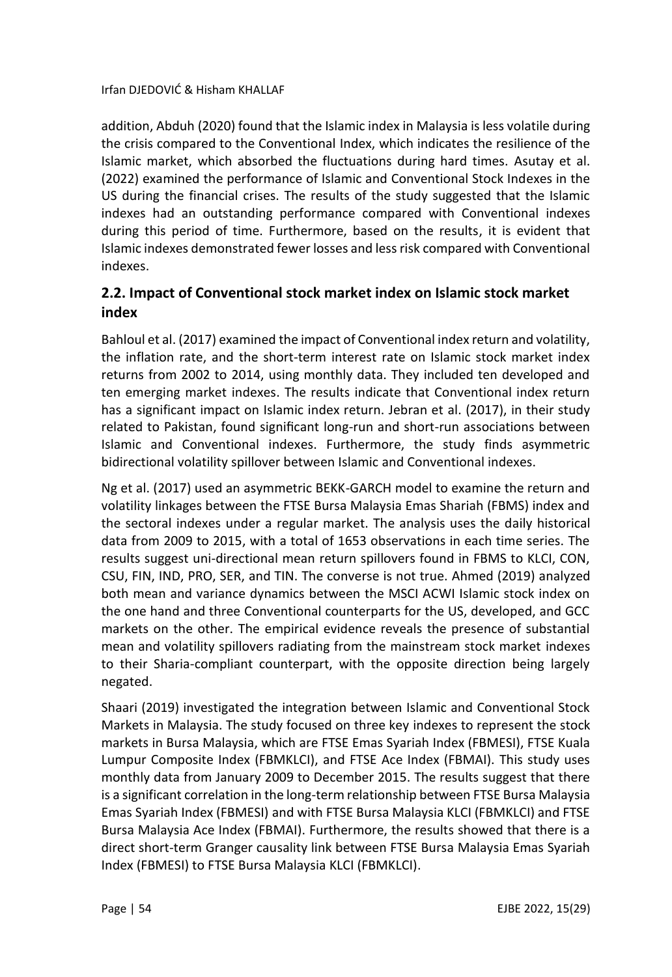addition, Abduh (2020) found that the Islamic index in Malaysia is less volatile during the crisis compared to the Conventional Index, which indicates the resilience of the Islamic market, which absorbed the fluctuations during hard times. Asutay et al. (2022) examined the performance of Islamic and Conventional Stock Indexes in the US during the financial crises. The results of the study suggested that the Islamic indexes had an outstanding performance compared with Conventional indexes during this period of time. Furthermore, based on the results, it is evident that Islamic indexes demonstrated fewer losses and less risk compared with Conventional indexes.

## **2.2. Impact of Conventional stock market index on Islamic stock market index**

Bahloul et al. (2017) examined the impact of Conventional index return and volatility, the inflation rate, and the short-term interest rate on Islamic stock market index returns from 2002 to 2014, using monthly data. They included ten developed and ten emerging market indexes. The results indicate that Conventional index return has a significant impact on Islamic index return. Jebran et al. (2017), in their study related to Pakistan, found significant long-run and short-run associations between Islamic and Conventional indexes. Furthermore, the study finds asymmetric bidirectional volatility spillover between Islamic and Conventional indexes.

Ng et al. (2017) used an asymmetric BEKK-GARCH model to examine the return and volatility linkages between the FTSE Bursa Malaysia Emas Shariah (FBMS) index and the sectoral indexes under a regular market. The analysis uses the daily historical data from 2009 to 2015, with a total of 1653 observations in each time series. The results suggest uni-directional mean return spillovers found in FBMS to KLCI, CON, CSU, FIN, IND, PRO, SER, and TIN. The converse is not true. Ahmed (2019) analyzed both mean and variance dynamics between the MSCI ACWI Islamic stock index on the one hand and three Conventional counterparts for the US, developed, and GCC markets on the other. The empirical evidence reveals the presence of substantial mean and volatility spillovers radiating from the mainstream stock market indexes to their Sharia-compliant counterpart, with the opposite direction being largely negated.

Shaari (2019) investigated the integration between Islamic and Conventional Stock Markets in Malaysia. The study focused on three key indexes to represent the stock markets in Bursa Malaysia, which are FTSE Emas Syariah Index (FBMESI), FTSE Kuala Lumpur Composite Index (FBMKLCI), and FTSE Ace Index (FBMAI). This study uses monthly data from January 2009 to December 2015. The results suggest that there is a significant correlation in the long-term relationship between FTSE Bursa Malaysia Emas Syariah Index (FBMESI) and with FTSE Bursa Malaysia KLCI (FBMKLCI) and FTSE Bursa Malaysia Ace Index (FBMAI). Furthermore, the results showed that there is a direct short-term Granger causality link between FTSE Bursa Malaysia Emas Syariah Index (FBMESI) to FTSE Bursa Malaysia KLCI (FBMKLCI).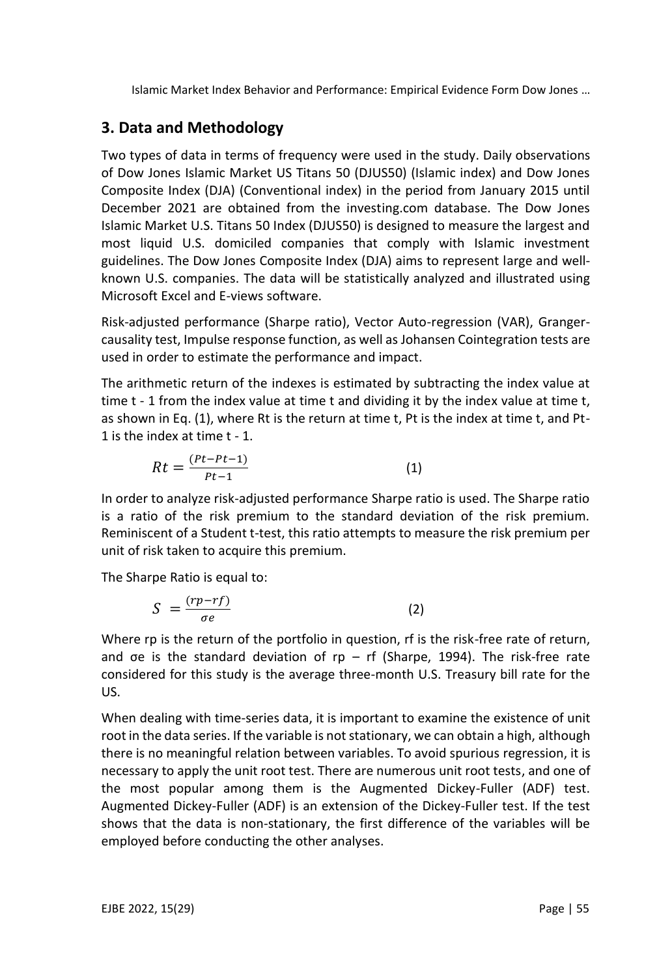# **3. Data and Methodology**

Two types of data in terms of frequency were used in the study. Daily observations of Dow Jones Islamic Market US Titans 50 (DJUS50) (Islamic index) and Dow Jones Composite Index (DJA) (Conventional index) in the period from January 2015 until December 2021 are obtained from the investing.com database. The Dow Jones Islamic Market U.S. Titans 50 Index (DJUS50) is designed to measure the largest and most liquid U.S. domiciled companies that comply with Islamic investment guidelines. The Dow Jones Composite Index (DJA) aims to represent large and wellknown U.S. companies. The data will be statistically analyzed and illustrated using Microsoft Excel and E-views software.

Risk-adjusted performance (Sharpe ratio), Vector Auto-regression (VAR), Grangercausality test, Impulse response function, as well as Johansen Cointegration tests are used in order to estimate the performance and impact.

The arithmetic return of the indexes is estimated by subtracting the index value at time t - 1 from the index value at time t and dividing it by the index value at time t, as shown in Eq. (1), where Rt is the return at time t, Pt is the index at time t, and Pt-1 is the index at time t - 1.

$$
Rt = \frac{(Pt - Pt - 1)}{Pt - 1}
$$
 (1)

In order to analyze risk-adjusted performance Sharpe ratio is used. The Sharpe ratio is a ratio of the risk premium to the standard deviation of the risk premium. Reminiscent of a Student t-test, this ratio attempts to measure the risk premium per unit of risk taken to acquire this premium.

The Sharpe Ratio is equal to:

$$
S = \frac{(rp - rf)}{\sigma e} \tag{2}
$$

Where rp is the return of the portfolio in question, rf is the risk-free rate of return, and  $\sigma$ e is the standard deviation of rp – rf (Sharpe, 1994). The risk-free rate considered for this study is the average three-month U.S. Treasury bill rate for the US.

When dealing with time-series data, it is important to examine the existence of unit root in the data series. If the variable is not stationary, we can obtain a high, although there is no meaningful relation between variables. To avoid spurious regression, it is necessary to apply the unit root test. There are numerous unit root tests, and one of the most popular among them is the Augmented Dickey-Fuller (ADF) test. Augmented Dickey-Fuller (ADF) is an extension of the Dickey-Fuller test. If the test shows that the data is non-stationary, the first difference of the variables will be employed before conducting the other analyses.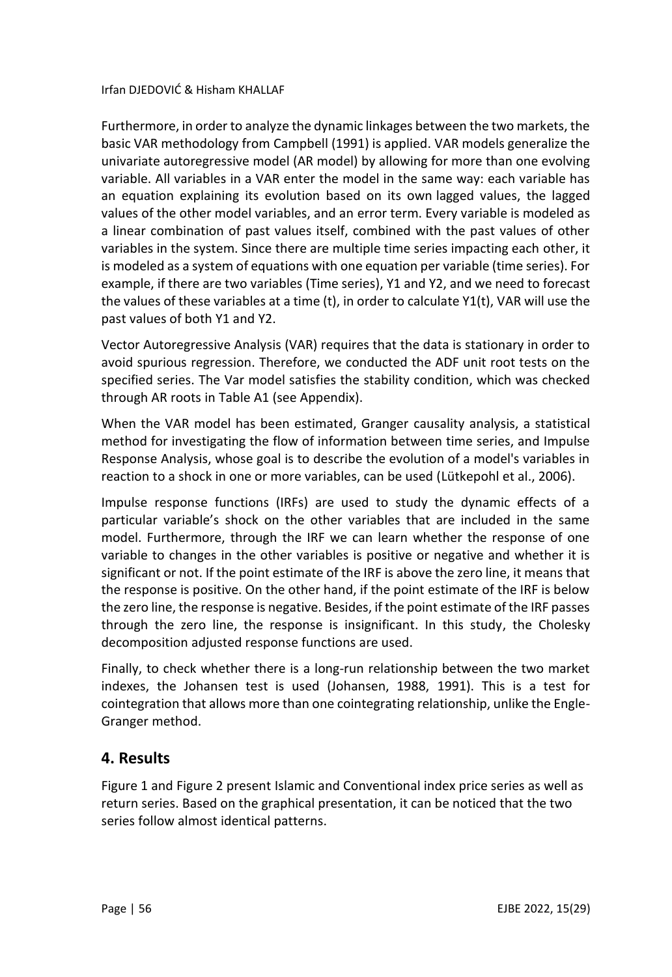Furthermore, in order to analyze the dynamic linkages between the two markets, the basic VAR methodology from Campbell (1991) is applied. VAR models generalize the univariate [autoregressive model](https://en.wikipedia.org/wiki/Autoregressive_model) (AR model) by allowing for more than one evolving variable. All variables in a VAR enter the model in the same way: each variable has an equation explaining its evolution based on its own [lagged values,](https://en.wikipedia.org/wiki/Lag_operator) the lagged values of the other model variables, and an [error term.](https://en.wikipedia.org/wiki/Errors_and_residuals_in_statistics) Every variable is modeled as a linear combination of past values itself, combined with the past values of other variables in the system. Since there are multiple time series impacting each other, it is modeled as a system of equations with one equation per variable (time series). For example, if there are two variables (Time series), Y1 and Y2, and we need to forecast the values of these variables at a time (t), in order to calculate Y1(t), VAR will use the past values of both Y1 and Y2.

Vector Autoregressive Analysis (VAR) requires that the data is stationary in order to avoid spurious regression. Therefore, we conducted the ADF unit root tests on the specified series. The Var model satisfies the stability condition, which was checked through AR roots in Table A1 (see Appendix).

When the VAR model has been estimated, Granger causality analysis, a statistical method for investigating the flow of information between time series, and Impulse Response Analysis, whose goal is to describe the evolution of a model's variables in reaction to a shock in one or more variables, can be used (Lütkepohl et al., 2006).

Impulse response functions (IRFs) are used to study the dynamic effects of a particular variable's shock on the other variables that are included in the same model. Furthermore, through the IRF we can learn whether the response of one variable to changes in the other variables is positive or negative and whether it is significant or not. If the point estimate of the IRF is above the zero line, it means that the response is positive. On the other hand, if the point estimate of the IRF is below the zero line, the response is negative. Besides, if the point estimate of the IRF passes through the zero line, the response is insignificant. In this study, the Cholesky decomposition adjusted response functions are used.

Finally, to check whether there is a long-run relationship between the two market indexes, the Johansen test is used (Johansen, 1988, 1991). This is a test for cointegration that allows more than one cointegrating relationship, unlike the Engle-Granger method.

## **4. Results**

Figure 1 and Figure 2 present Islamic and Conventional index price series as well as return series. Based on the graphical presentation, it can be noticed that the two series follow almost identical patterns.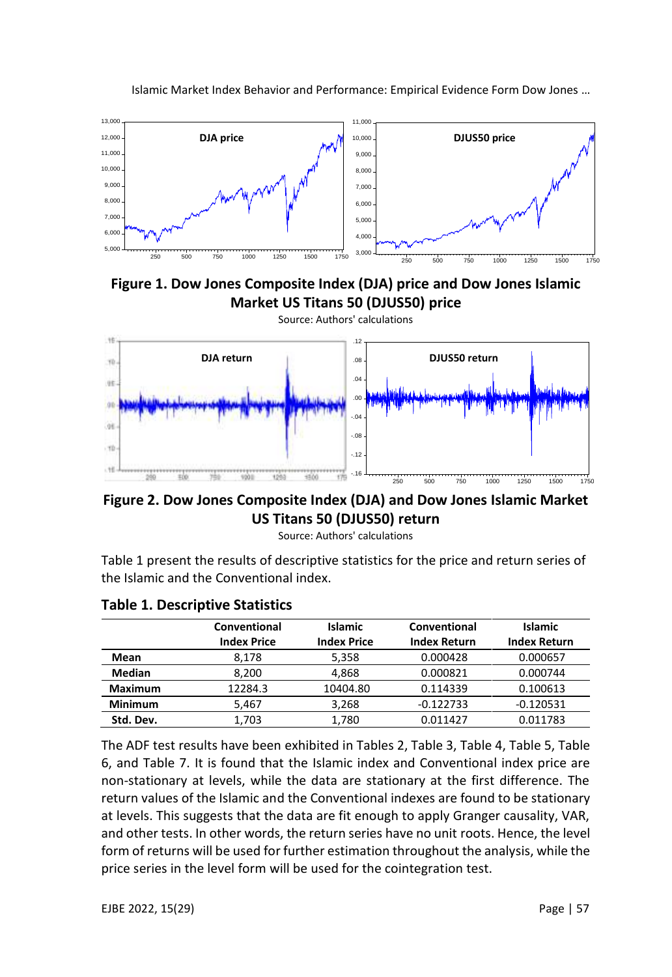

**Figure 1. Dow Jones Composite Index (DJA) price and Dow Jones Islamic Market US Titans 50 (DJUS50) price**



**Figure 2. Dow Jones Composite Index (DJA) and Dow Jones Islamic Market US Titans 50 (DJUS50) return**

Source: Authors' calculations

Table 1 present the results of descriptive statistics for the price and return series of the Islamic and the Conventional index.

|                | Conventional<br><b>Index Price</b> | <b>Islamic</b><br><b>Index Price</b> | Conventional<br><b>Index Return</b> | <b>Islamic</b><br><b>Index Return</b> |
|----------------|------------------------------------|--------------------------------------|-------------------------------------|---------------------------------------|
| Mean           | 8.178                              | 5.358                                | 0.000428                            | 0.000657                              |
| Median         | 8.200                              | 4.868                                | 0.000821                            | 0.000744                              |
| <b>Maximum</b> | 12284.3                            | 10404.80                             | 0.114339                            | 0.100613                              |
| <b>Minimum</b> | 5,467                              | 3,268                                | $-0.122733$                         | $-0.120531$                           |
| Std. Dev.      | 1,703                              | 1.780                                | 0.011427                            | 0.011783                              |

#### **Table 1. Descriptive Statistics**

The ADF test results have been exhibited in Tables 2, Table 3, Table 4, Table 5, Table 6, and Table 7. It is found that the Islamic index and Conventional index price are non-stationary at levels, while the data are stationary at the first difference. The return values of the Islamic and the Conventional indexes are found to be stationary at levels. This suggests that the data are fit enough to apply Granger causality, VAR, and other tests. In other words, the return series have no unit roots. Hence, the level form of returns will be used for further estimation throughout the analysis, while the price series in the level form will be used for the cointegration test.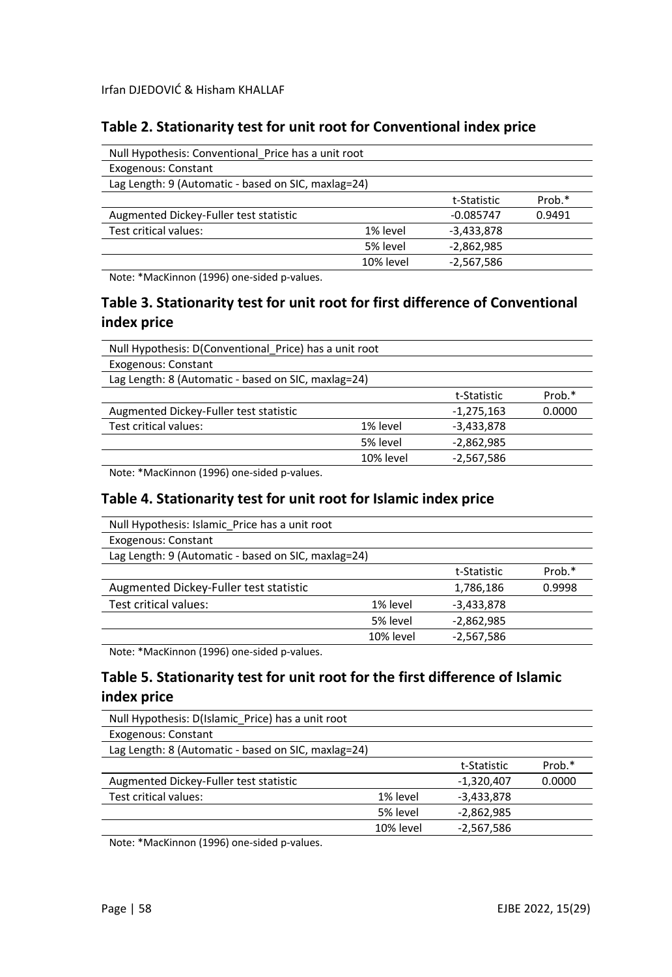## **Table 2. Stationarity test for unit root for Conventional index price**

| Null Hypothesis: Conventional Price has a unit root |           |              |        |
|-----------------------------------------------------|-----------|--------------|--------|
| <b>Exogenous: Constant</b>                          |           |              |        |
| Lag Length: 9 (Automatic - based on SIC, maxlag=24) |           |              |        |
|                                                     |           | t-Statistic  | Prob.* |
| Augmented Dickey-Fuller test statistic              |           | $-0.085747$  | 0.9491 |
| Test critical values:                               | 1% level  | $-3,433,878$ |        |
|                                                     | 5% level  | $-2,862,985$ |        |
|                                                     | 10% level | $-2.567.586$ |        |

Note: \*MacKinnon (1996) one-sided p-values.

## **Table 3. Stationarity test for unit root for first difference of Conventional index price**

| Null Hypothesis: D(Conventional Price) has a unit root |           |              |        |  |
|--------------------------------------------------------|-----------|--------------|--------|--|
| Exogenous: Constant                                    |           |              |        |  |
| Lag Length: 8 (Automatic - based on SIC, maxlag=24)    |           |              |        |  |
|                                                        |           | t-Statistic  | Prob.* |  |
| Augmented Dickey-Fuller test statistic                 |           | $-1,275,163$ | 0.0000 |  |
| Test critical values:                                  | 1% level  | $-3,433,878$ |        |  |
|                                                        | 5% level  | $-2,862,985$ |        |  |
|                                                        | 10% level | $-2,567,586$ |        |  |

Note: \*MacKinnon (1996) one-sided p-values.

#### **Table 4. Stationarity test for unit root for Islamic index price**

| Null Hypothesis: Islamic Price has a unit root      |           |              |        |
|-----------------------------------------------------|-----------|--------------|--------|
| <b>Exogenous: Constant</b>                          |           |              |        |
| Lag Length: 9 (Automatic - based on SIC, maxlag=24) |           |              |        |
|                                                     |           | t-Statistic  | Prob.* |
| Augmented Dickey-Fuller test statistic              |           | 1,786,186    | 0.9998 |
| Test critical values:                               | 1% level  | $-3,433,878$ |        |
|                                                     | 5% level  | $-2,862,985$ |        |
|                                                     | 10% level | $-2,567,586$ |        |
|                                                     |           |              |        |

Note: \*MacKinnon (1996) one-sided p-values.

## **Table 5. Stationarity test for unit root for the first difference of Islamic index price**

| Null Hypothesis: D(Islamic Price) has a unit root   |           |              |        |
|-----------------------------------------------------|-----------|--------------|--------|
| Exogenous: Constant                                 |           |              |        |
| Lag Length: 8 (Automatic - based on SIC, maxlag=24) |           |              |        |
|                                                     |           | t-Statistic  | Prob.* |
| Augmented Dickey-Fuller test statistic              |           | $-1,320,407$ | 0.0000 |
| Test critical values:                               | 1% level  | $-3,433,878$ |        |
|                                                     | 5% level  | $-2,862,985$ |        |
|                                                     | 10% level | $-2,567,586$ |        |

Note: \*MacKinnon (1996) one-sided p-values.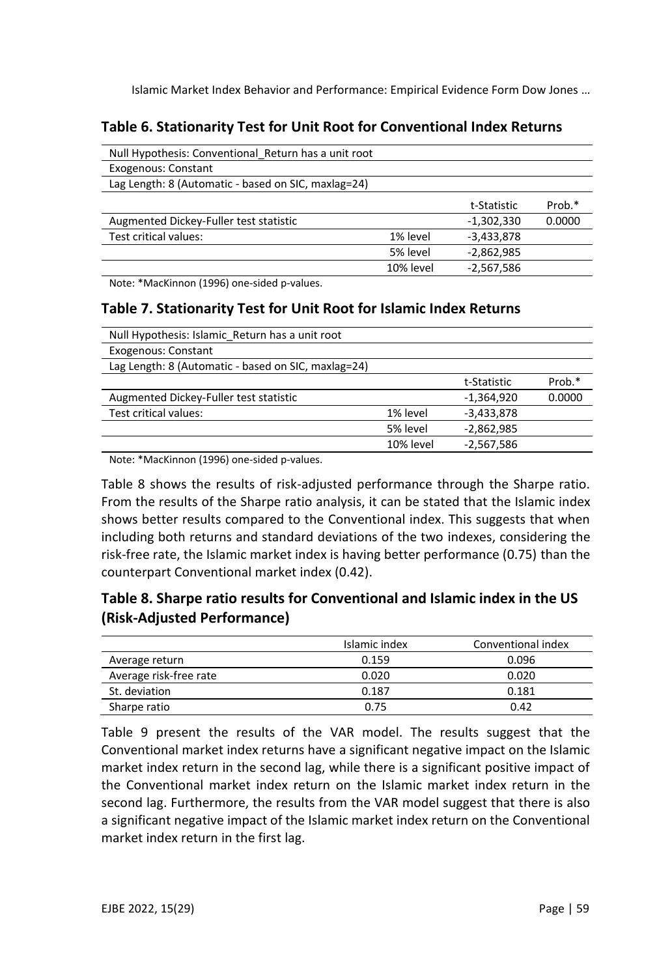## **Table 6. Stationarity Test for Unit Root for Conventional Index Returns**

| Null Hypothesis: Conventional Return has a unit root |           |              |        |
|------------------------------------------------------|-----------|--------------|--------|
| Exogenous: Constant                                  |           |              |        |
| Lag Length: 8 (Automatic - based on SIC, maxlag=24)  |           |              |        |
|                                                      |           | t-Statistic  | Prob.* |
| Augmented Dickey-Fuller test statistic               |           | $-1,302,330$ | 0.0000 |
| Test critical values:                                | 1% level  | $-3,433,878$ |        |
|                                                      | 5% level  | $-2,862,985$ |        |
|                                                      | 10% level | $-2.567.586$ |        |

Note: \*MacKinnon (1996) one-sided p-values.

#### **Table 7. Stationarity Test for Unit Root for Islamic Index Returns**

|           | t-Statistic  | Prob.* |
|-----------|--------------|--------|
|           | $-1.364.920$ | 0.0000 |
| 1% level  | $-3,433,878$ |        |
| 5% level  | $-2,862,985$ |        |
| 10% level | $-2,567,586$ |        |
|           |              |        |

Note: \*MacKinnon (1996) one-sided p-values.

Table 8 shows the results of risk-adjusted performance through the Sharpe ratio. From the results of the Sharpe ratio analysis, it can be stated that the Islamic index shows better results compared to the Conventional index. This suggests that when including both returns and standard deviations of the two indexes, considering the risk-free rate, the Islamic market index is having better performance (0.75) than the counterpart Conventional market index (0.42).

## **Table 8. Sharpe ratio results for Conventional and Islamic index in the US (Risk-Adjusted Performance)**

|                        | Islamic index | Conventional index |
|------------------------|---------------|--------------------|
| Average return         | 0.159         | 0.096              |
| Average risk-free rate | 0.020         | 0.020              |
| St. deviation          | 0.187         | 0.181              |
| Sharpe ratio           | 0.75          | 0.42               |

Table 9 present the results of the VAR model. The results suggest that the Conventional market index returns have a significant negative impact on the Islamic market index return in the second lag, while there is a significant positive impact of the Conventional market index return on the Islamic market index return in the second lag. Furthermore, the results from the VAR model suggest that there is also a significant negative impact of the Islamic market index return on the Conventional market index return in the first lag.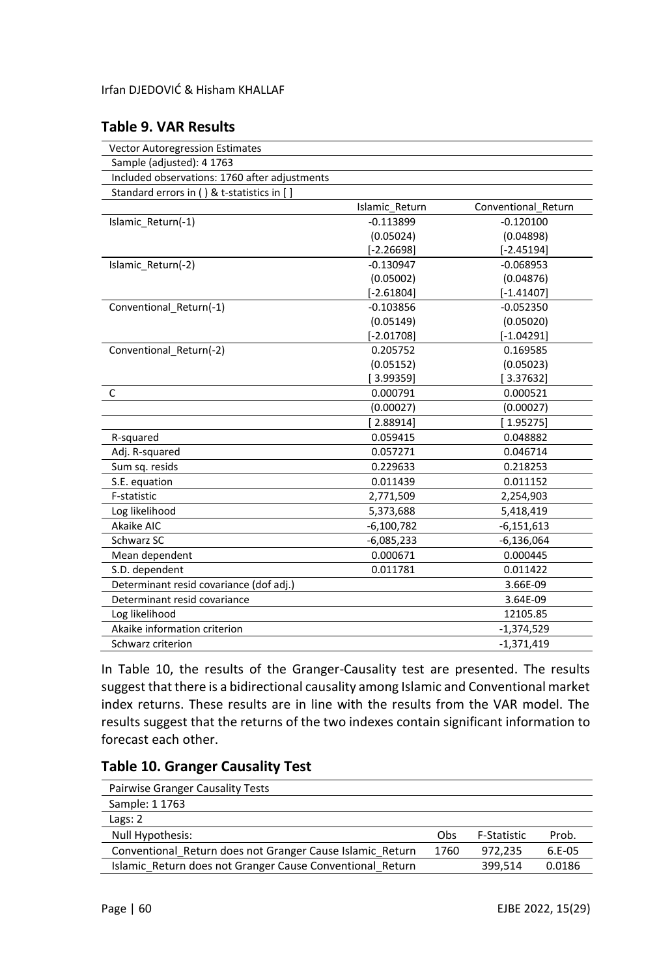#### **Table 9. VAR Results**

| <b>Vector Autoregression Estimates</b>        |                |                     |
|-----------------------------------------------|----------------|---------------------|
| Sample (adjusted): 4 1763                     |                |                     |
| Included observations: 1760 after adjustments |                |                     |
| Standard errors in () & t-statistics in []    |                |                     |
|                                               | Islamic Return | Conventional Return |
| Islamic Return(-1)                            | $-0.113899$    | $-0.120100$         |
|                                               | (0.05024)      | (0.04898)           |
|                                               | $[-2.26698]$   | $[-2.45194]$        |
| Islamic Return(-2)                            | $-0.130947$    | $-0.068953$         |
|                                               | (0.05002)      | (0.04876)           |
|                                               | $[-2.61804]$   | $[-1.41407]$        |
| Conventional Return(-1)                       | $-0.103856$    | $-0.052350$         |
|                                               | (0.05149)      | (0.05020)           |
|                                               | $[-2.01708]$   | $[-1.04291]$        |
| Conventional Return(-2)                       | 0.205752       | 0.169585            |
|                                               | (0.05152)      | (0.05023)           |
|                                               | [3.99359]      | [3.37632]           |
| C                                             | 0.000791       | 0.000521            |
|                                               | (0.00027)      | (0.00027)           |
|                                               | [2.88914]      | [1.95275]           |
| R-squared                                     | 0.059415       | 0.048882            |
| Adj. R-squared                                | 0.057271       | 0.046714            |
| Sum sq. resids                                | 0.229633       | 0.218253            |
| S.E. equation                                 | 0.011439       | 0.011152            |
| F-statistic                                   | 2,771,509      | 2,254,903           |
| Log likelihood                                | 5,373,688      | 5,418,419           |
| Akaike AIC                                    | $-6,100,782$   | $-6,151,613$        |
| Schwarz SC                                    | $-6,085,233$   | $-6,136,064$        |
| Mean dependent                                | 0.000671       | 0.000445            |
| S.D. dependent                                | 0.011781       | 0.011422            |
| Determinant resid covariance (dof adj.)       |                | 3.66E-09            |
| Determinant resid covariance                  |                | 3.64E-09            |
| Log likelihood                                |                | 12105.85            |
| Akaike information criterion                  |                | $-1,374,529$        |
| Schwarz criterion                             |                | $-1,371,419$        |

In Table 10, the results of the Granger-Causality test are presented. The results suggest that there is a bidirectional causality among Islamic and Conventional market index returns. These results are in line with the results from the VAR model. The results suggest that the returns of the two indexes contain significant information to forecast each other.

## **Table 10. Granger Causality Test**

| Pairwise Granger Causality Tests                          |      |             |          |
|-----------------------------------------------------------|------|-------------|----------|
| Sample: 1 1763                                            |      |             |          |
| Lags: 2                                                   |      |             |          |
| Null Hypothesis:                                          | Obs  | F-Statistic | Prob.    |
| Conventional Return does not Granger Cause Islamic Return | 1760 | 972.235     | $6.E-05$ |
| Islamic Return does not Granger Cause Conventional Return |      | 399.514     | 0.0186   |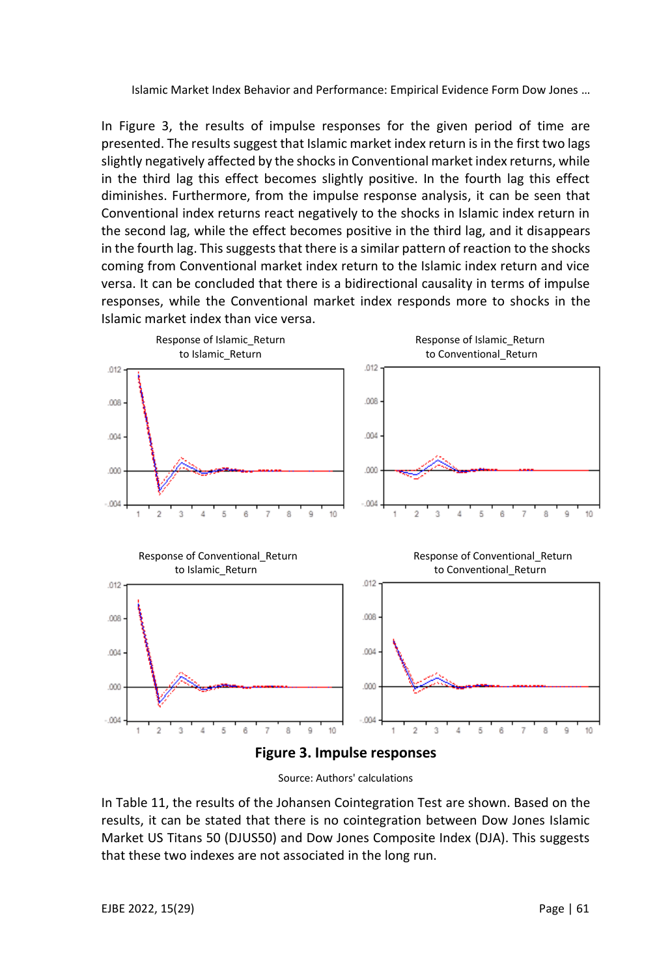In Figure 3, the results of impulse responses for the given period of time are presented. The results suggest that Islamic market index return is in the first two lags slightly negatively affected by the shocks in Conventional market index returns, while in the third lag this effect becomes slightly positive. In the fourth lag this effect diminishes. Furthermore, from the impulse response analysis, it can be seen that Conventional index returns react negatively to the shocks in Islamic index return in the second lag, while the effect becomes positive in the third lag, and it disappears in the fourth lag. This suggests that there is a similar pattern of reaction to the shocks coming from Conventional market index return to the Islamic index return and vice versa. It can be concluded that there is a bidirectional causality in terms of impulse responses, while the Conventional market index responds more to shocks in the Islamic market index than vice versa.



Source: Authors' calculations

In Table 11, the results of the Johansen Cointegration Test are shown. Based on the results, it can be stated that there is no cointegration between Dow Jones Islamic Market US Titans 50 (DJUS50) and Dow Jones Composite Index (DJA). This suggests that these two indexes are not associated in the long run.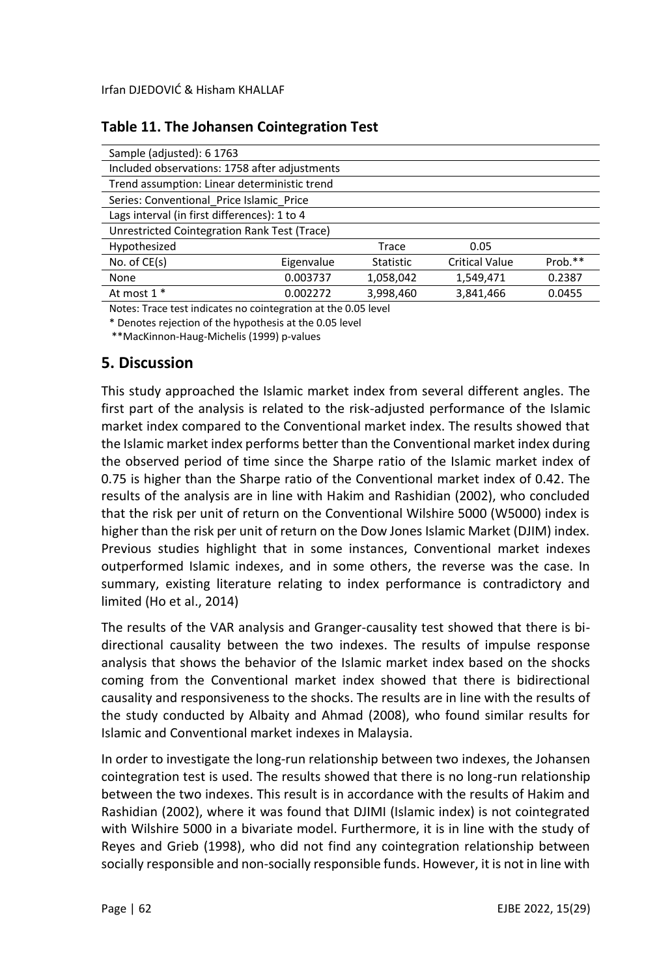| Sample (adjusted): 6 1763                     |            |           |                       |         |
|-----------------------------------------------|------------|-----------|-----------------------|---------|
| Included observations: 1758 after adjustments |            |           |                       |         |
| Trend assumption: Linear deterministic trend  |            |           |                       |         |
| Series: Conventional Price Islamic Price      |            |           |                       |         |
| Lags interval (in first differences): 1 to 4  |            |           |                       |         |
| Unrestricted Cointegration Rank Test (Trace)  |            |           |                       |         |
| Hypothesized                                  |            | Trace     | 0.05                  |         |
| No. of $CE(s)$                                | Eigenvalue | Statistic | <b>Critical Value</b> | Prob.** |
| None                                          | 0.003737   | 1,058,042 | 1,549,471             | 0.2387  |
| At most 1 *                                   | 0.002272   | 3,998,460 | 3,841,466             | 0.0455  |

## **Table 11. The Johansen Cointegration Test**

Notes: Trace test indicates no cointegration at the 0.05 level

\* Denotes rejection of the hypothesis at the 0.05 level

\*\*MacKinnon-Haug-Michelis (1999) p-values

#### **5. Discussion**

This study approached the Islamic market index from several different angles. The first part of the analysis is related to the risk-adjusted performance of the Islamic market index compared to the Conventional market index. The results showed that the Islamic market index performs better than the Conventional market index during the observed period of time since the Sharpe ratio of the Islamic market index of 0.75 is higher than the Sharpe ratio of the Conventional market index of 0.42. The results of the analysis are in line with Hakim and Rashidian (2002), who concluded that the risk per unit of return on the Conventional Wilshire 5000 (W5000) index is higher than the risk per unit of return on the Dow Jones Islamic Market (DJIM) index. Previous studies highlight that in some instances, Conventional market indexes outperformed Islamic indexes, and in some others, the reverse was the case. In summary, existing literature relating to index performance is contradictory and limited (Ho et al., 2014)

The results of the VAR analysis and Granger-causality test showed that there is bidirectional causality between the two indexes. The results of impulse response analysis that shows the behavior of the Islamic market index based on the shocks coming from the Conventional market index showed that there is bidirectional causality and responsiveness to the shocks. The results are in line with the results of the study conducted by Albaity and Ahmad (2008), who found similar results for Islamic and Conventional market indexes in Malaysia.

In order to investigate the long-run relationship between two indexes, the Johansen cointegration test is used. The results showed that there is no long-run relationship between the two indexes. This result is in accordance with the results of Hakim and Rashidian (2002), where it was found that DJIMI (Islamic index) is not cointegrated with Wilshire 5000 in a bivariate model. Furthermore, it is in line with the study of Reyes and Grieb (1998), who did not find any cointegration relationship between socially responsible and non-socially responsible funds. However, it is not in line with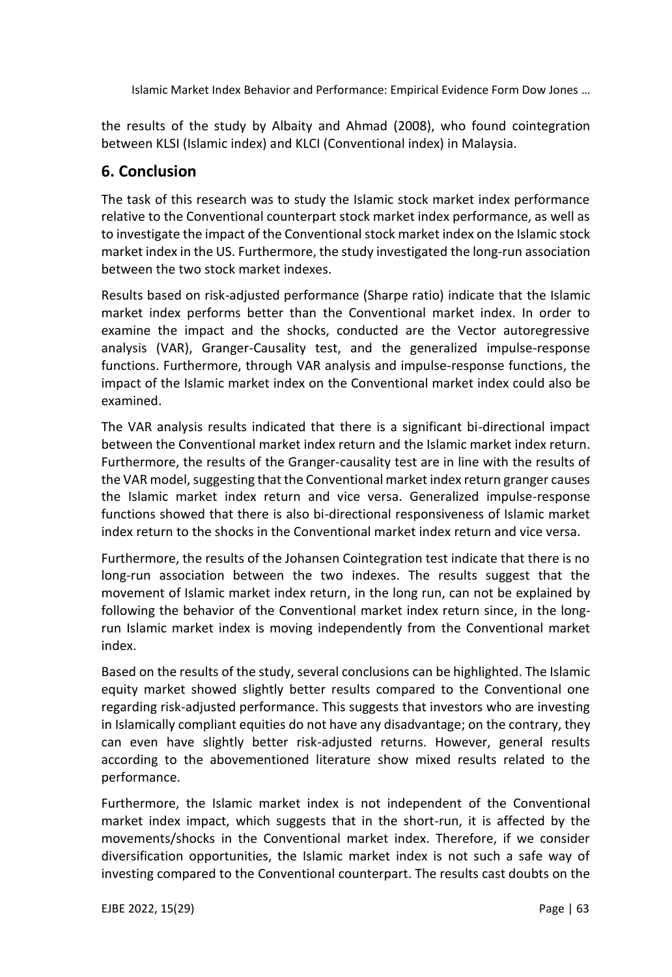the results of the study by Albaity and Ahmad (2008), who found cointegration between KLSI (Islamic index) and KLCI (Conventional index) in Malaysia.

## **6. Conclusion**

The task of this research was to study the Islamic stock market index performance relative to the Conventional counterpart stock market index performance, as well as to investigate the impact of the Conventional stock market index on the Islamic stock market index in the US. Furthermore, the study investigated the long-run association between the two stock market indexes.

Results based on risk-adjusted performance (Sharpe ratio) indicate that the Islamic market index performs better than the Conventional market index. In order to examine the impact and the shocks, conducted are the Vector autoregressive analysis (VAR), Granger-Causality test, and the generalized impulse-response functions. Furthermore, through VAR analysis and impulse-response functions, the impact of the Islamic market index on the Conventional market index could also be examined.

The VAR analysis results indicated that there is a significant bi-directional impact between the Conventional market index return and the Islamic market index return. Furthermore, the results of the Granger-causality test are in line with the results of the VAR model, suggesting that the Conventional market index return granger causes the Islamic market index return and vice versa. Generalized impulse-response functions showed that there is also bi-directional responsiveness of Islamic market index return to the shocks in the Conventional market index return and vice versa.

Furthermore, the results of the Johansen Cointegration test indicate that there is no long-run association between the two indexes. The results suggest that the movement of Islamic market index return, in the long run, can not be explained by following the behavior of the Conventional market index return since, in the longrun Islamic market index is moving independently from the Conventional market index.

Based on the results of the study, several conclusions can be highlighted. The Islamic equity market showed slightly better results compared to the Conventional one regarding risk-adjusted performance. This suggests that investors who are investing in Islamically compliant equities do not have any disadvantage; on the contrary, they can even have slightly better risk-adjusted returns. However, general results according to the abovementioned literature show mixed results related to the performance.

Furthermore, the Islamic market index is not independent of the Conventional market index impact, which suggests that in the short-run, it is affected by the movements/shocks in the Conventional market index. Therefore, if we consider diversification opportunities, the Islamic market index is not such a safe way of investing compared to the Conventional counterpart. The results cast doubts on the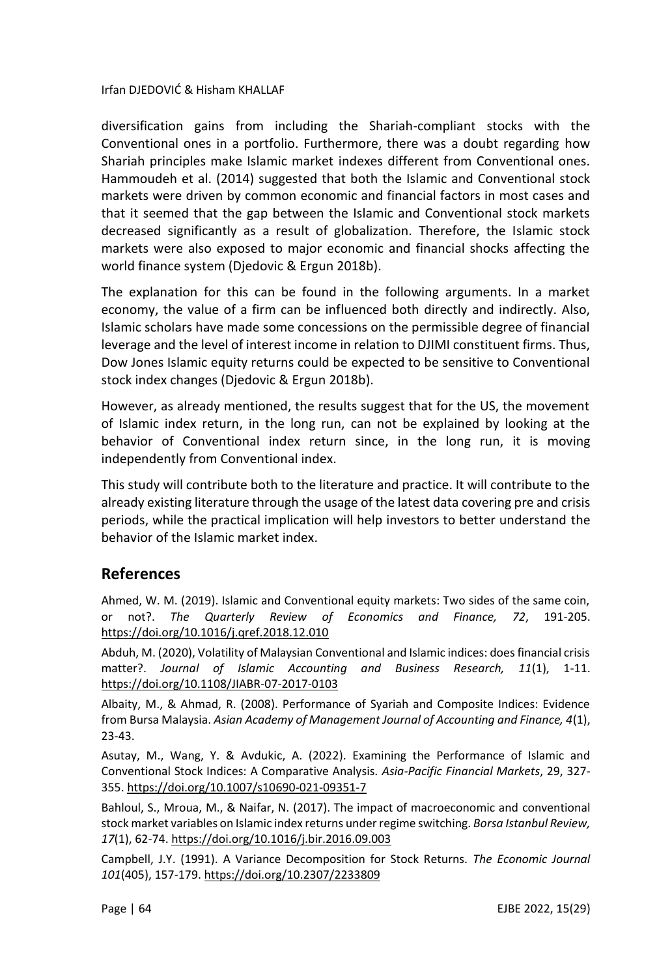diversification gains from including the Shariah-compliant stocks with the Conventional ones in a portfolio. Furthermore, there was a doubt regarding how Shariah principles make Islamic market indexes different from Conventional ones. Hammoudeh et al. (2014) suggested that both the Islamic and Conventional stock markets were driven by common economic and financial factors in most cases and that it seemed that the gap between the Islamic and Conventional stock markets decreased significantly as a result of globalization. Therefore, the Islamic stock markets were also exposed to major economic and financial shocks affecting the world finance system (Djedovic & Ergun 2018b).

The explanation for this can be found in the following arguments. In a market economy, the value of a firm can be influenced both directly and indirectly. Also, Islamic scholars have made some concessions on the permissible degree of financial leverage and the level of interest income in relation to DJIMI constituent firms. Thus, Dow Jones Islamic equity returns could be expected to be sensitive to Conventional stock index changes (Djedovic & Ergun 2018b).

However, as already mentioned, the results suggest that for the US, the movement of Islamic index return, in the long run, can not be explained by looking at the behavior of Conventional index return since, in the long run, it is moving independently from Conventional index.

This study will contribute both to the literature and practice. It will contribute to the already existing literature through the usage of the latest data covering pre and crisis periods, while the practical implication will help investors to better understand the behavior of the Islamic market index.

#### **References**

Ahmed, W. M. (2019). Islamic and Conventional equity markets: Two sides of the same coin, or not?. *The Quarterly Review of Economics and Finance, 72*, 191-205. <https://doi.org/10.1016/j.qref.2018.12.010>

Abduh, M. (2020), Volatility of Malaysian Conventional and Islamic indices: does financial crisis matter?. *Journal of Islamic Accounting and Business Research, 11*(1), 1-11. <https://doi.org/10.1108/JIABR-07-2017-0103>

Albaity, M., & Ahmad, R. (2008). Performance of Syariah and Composite Indices: Evidence from Bursa Malaysia. *Asian Academy of Management Journal of Accounting and Finance, 4*(1), 23-43.

Asutay, M., Wang, Y. & Avdukic, A. (2022). Examining the Performance of Islamic and Conventional Stock Indices: A Comparative Analysis. *Asia-Pacific Financial Markets*, 29, 327- 355[. https://doi.org/10.1007/s10690-021-09351-7](https://doi.org/10.1007/s10690-021-09351-7)

Bahloul, S., Mroua, M., & Naifar, N. (2017). The impact of macroeconomic and conventional stock market variables on Islamic index returns under regime switching. *Borsa Istanbul Review, 17*(1), 62-74[. https://doi.org/10.1016/j.bir.2016.09.003](https://doi.org/10.1016/j.bir.2016.09.003)

Campbell, J.Y. (1991). A Variance Decomposition for Stock Returns. *The Economic Journal 101*(405), 157-179[. https://doi.org/10.2307/2233809](https://doi.org/10.2307/2233809)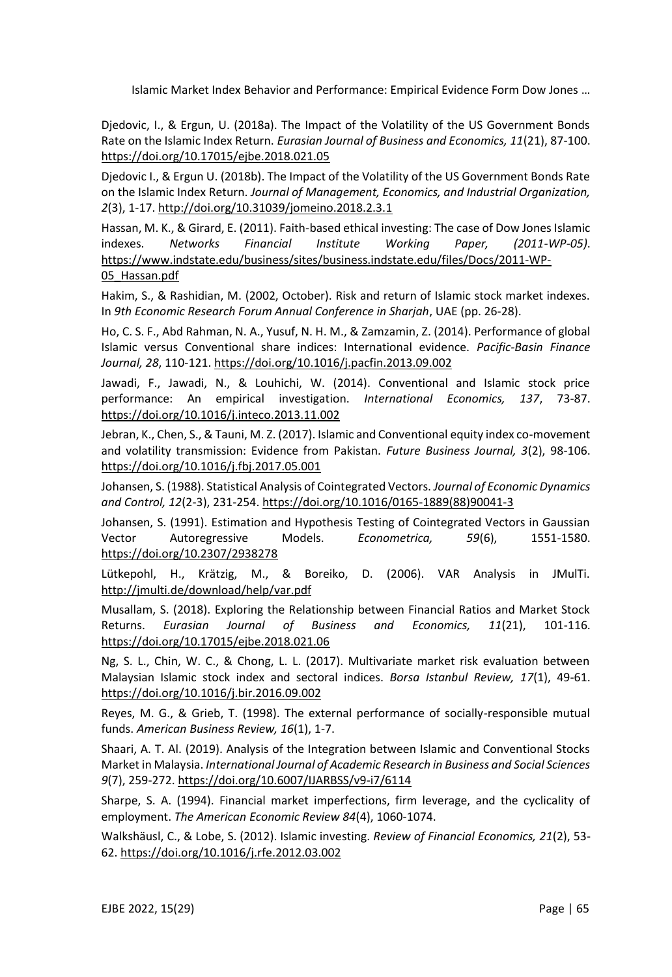Djedovic, I., & Ergun, U. (2018a). The Impact of the Volatility of the US Government Bonds Rate on the Islamic Index Return. *Eurasian Journal of Business and Economics, 11*(21), 87-100. <https://doi.org/10.17015/ejbe.2018.021.05>

Djedovic I., & Ergun U. (2018b). The Impact of the Volatility of the US Government Bonds Rate on the Islamic Index Return. *Journal of Management, Economics, and Industrial Organization, 2*(3), 1-17[. http://doi.org/10.31039/jomeino.2018.2.3.1](http://doi.org/10.31039/jomeino.2018.2.3.1)

Hassan, M. K., & Girard, E. (2011). Faith-based ethical investing: The case of Dow Jones Islamic indexes. *Networks Financial Institute Working Paper, (2011-WP-05)*. [https://www.indstate.edu/business/sites/business.indstate.edu/files/Docs/2011-WP-](https://www.indstate.edu/business/sites/business.indstate.edu/files/Docs/2011-WP-05_Hassan.pdf)[05\\_Hassan.pdf](https://www.indstate.edu/business/sites/business.indstate.edu/files/Docs/2011-WP-05_Hassan.pdf)

Hakim, S., & Rashidian, M. (2002, October). Risk and return of Islamic stock market indexes. In *9th Economic Research Forum Annual Conference in Sharjah*, UAE (pp. 26-28).

Ho, C. S. F., Abd Rahman, N. A., Yusuf, N. H. M., & Zamzamin, Z. (2014). Performance of global Islamic versus Conventional share indices: International evidence. *Pacific-Basin Finance Journal, 28*, 110-121[. https://doi.org/10.1016/j.pacfin.2013.09.002](https://doi.org/10.1016/j.pacfin.2013.09.002)

Jawadi, F., Jawadi, N., & Louhichi, W. (2014). Conventional and Islamic stock price performance: An empirical investigation. *International Economics, 137*, 73-87. <https://doi.org/10.1016/j.inteco.2013.11.002>

Jebran, K., Chen, S., & Tauni, M. Z. (2017). Islamic and Conventional equity index co-movement and volatility transmission: Evidence from Pakistan. *Future Business Journal, 3*(2), 98-106. <https://doi.org/10.1016/j.fbj.2017.05.001>

Johansen, S. (1988). Statistical Analysis of Cointegrated Vectors. *Journal of Economic Dynamics and Control, 12*(2-3), 231-254[. https://doi.org/10.1016/0165-1889\(88\)90041-3](https://doi.org/10.1016/0165-1889(88)90041-3)

Johansen, S. (1991). Estimation and Hypothesis Testing of Cointegrated Vectors in Gaussian Vector Autoregressive Models. *Econometrica, 59*(6), 1551-1580. <https://doi.org/10.2307/2938278>

Lütkepohl, H., Krätzig, M., & Boreiko, D. (2006). VAR Analysis in JMulTi. <http://jmulti.de/download/help/var.pdf>

Musallam, S. (2018). Exploring the Relationship between Financial Ratios and Market Stock Returns. *Eurasian Journal of Business and Economics, 11*(21), 101-116. <https://doi.org/10.17015/ejbe.2018.021.06>

Ng, S. L., Chin, W. C., & Chong, L. L. (2017). Multivariate market risk evaluation between Malaysian Islamic stock index and sectoral indices. *Borsa Istanbul Review, 17*(1), 49-61. <https://doi.org/10.1016/j.bir.2016.09.002>

Reyes, M. G., & Grieb, T. (1998). The external performance of socially-responsible mutual funds. *American Business Review, 16*(1), 1-7.

Shaari, A. T. Al. (2019). Analysis of the Integration between Islamic and Conventional Stocks Market in Malaysia. *International Journal of Academic Research in Business and Social Sciences 9*(7), 259-272.<https://doi.org/10.6007/IJARBSS/v9-i7/6114>

Sharpe, S. A. (1994). Financial market imperfections, firm leverage, and the cyclicality of employment. *The American Economic Review 84*(4), 1060-1074.

Walkshäusl, C., & Lobe, S. (2012). Islamic investing. *Review of Financial Economics, 21*(2), 53- 62. <https://doi.org/10.1016/j.rfe.2012.03.002>